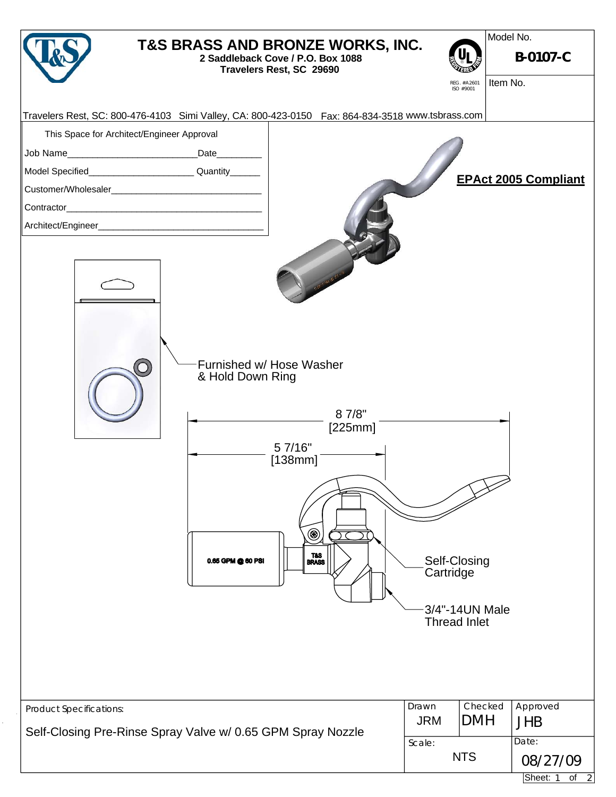